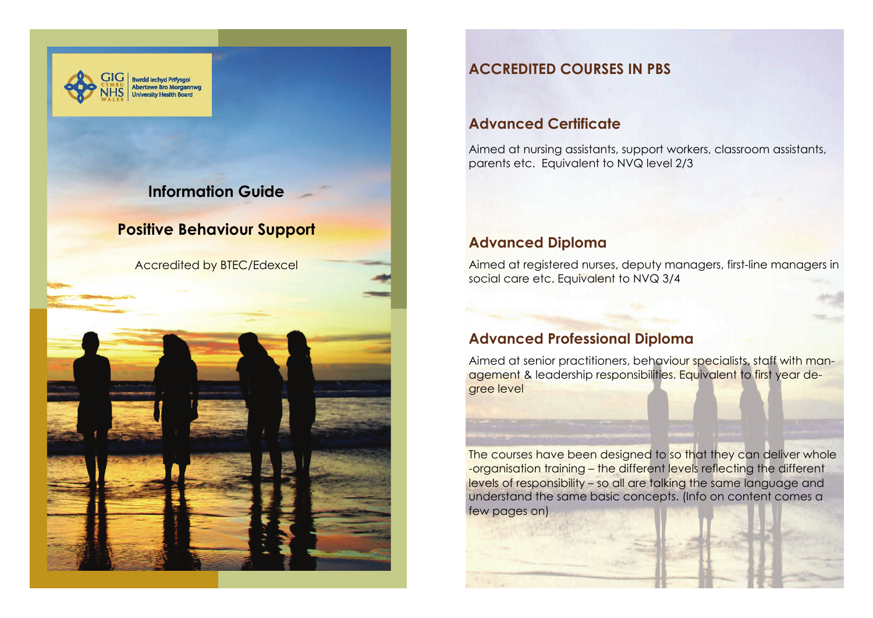

# **Information Guide**

# **Positive Behaviour Support**

Accredited by BTEC/Edexcel



# **ACCREDITED COURSES IN PBS**

# **Advanced Certificate**

Aimed at nursing assistants, support workers, classroom assistants, parents etc. Equivalent to NVQ level 2/3

# **Advanced Diploma**

Aimed at registered nurses, deputy managers, first-line managers in social care etc. Equivalent to NVQ 3/4

# **Advanced Professional Diploma**

Aimed at senior practitioners, behaviour specialists, staff with management & leadership responsibilities. Equivalent to first year degree level

The courses have been designed to so that they can deliver whole -organisation training – the different levels reflecting the different levels of responsibility – so all are talking the same language and understand the same basic concepts. (Info on content comes a few pages on)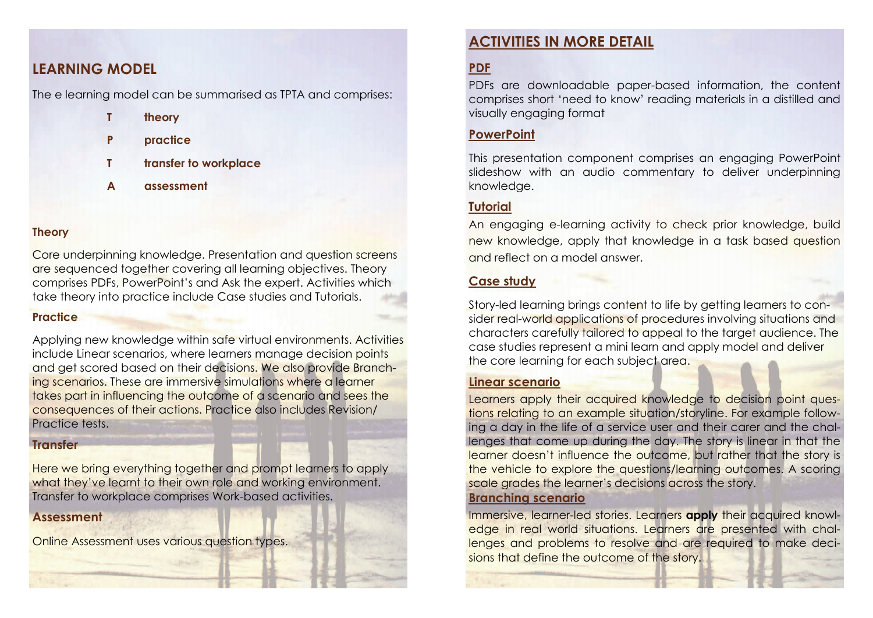# **LEARNING MODEL**

The e learning model can be summarised as TPTA and comprises:

- **T theory**
- **P practice**
- **T transfer to workplace**
- **A assessment**

#### **Theory**

Core underpinning knowledge. Presentation and question screens are sequenced together covering all learning objectives. Theory comprises PDFs, PowerPoint's and Ask the expert. Activities which take theory into practice include Case studies and Tutorials.

#### **Practice**

Applying new knowledge within safe virtual environments. Activities include Linear scenarios, where learners manage decision points and get scored based on their decisions. We also provide Branching scenarios. These are immersive simulations where a learner takes part in influencing the outcome of a scenario and sees the consequences of their actions. Practice also includes Revision/ Practice tests.

### **Transfer**

Here we bring everything together and prompt learners to apply what they've learnt to their own role and working environment. Transfer to workplace comprises Work-based activities.

### **Assessment**

Online Assessment uses various question types.

# **ACTIVITIES IN MORE DETAIL**

# **PDF**

PDFs are downloadable paper-based information, the content comprises short 'need to know' reading materials in a distilled and visually engaging format

### **PowerPoint**

This presentation component comprises an engaging PowerPoint slideshow with an audio commentary to deliver underpinning knowledge.

## **Tutorial**

An engaging e-learning activity to check prior knowledge, build new knowledge, apply that knowledge in a task based question and reflect on a model answer.

## **Case study**

Story-led learning brings content to life by getting learners to consider real-world applications of procedures involving situations and characters carefully tailored to appeal to the target audience. The case studies represent a mini learn and apply model and deliver the core learning for each subject area.

#### **Linear scenario**

Learners apply their acquired knowledge to decision point questions relating to an example situation/storyline. For example following a day in the life of a service user and their carer and the challenges that come up during the day. The story is linear in that the learner doesn't influence the outcome, but rather that the story is the vehicle to explore the questions/learning outcomes. A scoring scale grades the learner's decisions across the story.

#### **Branching scenario**

Immersive, learner-led stories. Learners **apply** their acquired knowledge in real world situations. Learners are presented with challenges and problems to resolve and are required to make decisions that define the outcome of the story.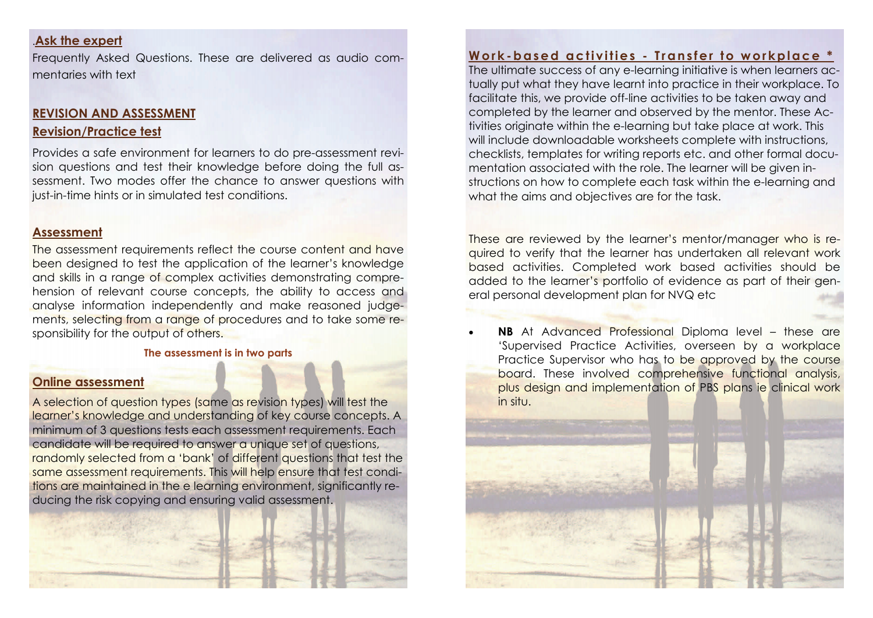### .**Ask the expert**

Frequently Asked Questions. These are delivered as audio commentaries with text

#### **REVISION AND ASSESSMENT**

#### **Revision/Practice test**

Provides a safe environment for learners to do pre-assessment revision questions and test their knowledge before doing the full assessment. Two modes offer the chance to answer questions with just-in-time hints or in simulated test conditions.

#### **Assessment**

The assessment requirements reflect the course content and have been designed to test the application of the learner's knowledge and skills in a range of complex activities demonstrating comprehension of relevant course concepts, the ability to access and analyse information independently and make reasoned judgements, selecting from a range of procedures and to take some responsibility for the output of others.

#### **The assessment is in two parts**

#### **Online assessment**

A selection of question types (same as revision types) will test the learner's knowledge and understanding of key course concepts. A minimum of 3 questions tests each assessment requirements. Each candidate will be required to answer a unique set of questions, randomly selected from a 'bank' of different questions that test the same assessment requirements. This will help ensure that test conditions are maintained in the e learning environment, significantly reducing the risk copying and ensuring valid assessment.



# **Work-based activities - Transfer to workplace \***

The ultimate success of any e-learning initiative is when learners actually put what they have learnt into practice in their workplace. To facilitate this, we provide off-line activities to be taken away and completed by the learner and observed by the mentor. These Activities originate within the e-learning but take place at work. This will include downloadable worksheets complete with instructions, checklists, templates for writing reports etc. and other formal documentation associated with the role. The learner will be given instructions on how to complete each task within the e-learning and what the aims and objectives are for the task.

These are reviewed by the learner's mentor/manager who is required to verify that the learner has undertaken all relevant work based activities. Completed work based activities should be added to the learner's portfolio of evidence as part of their general personal development plan for NVQ etc

 $\bullet$  **NB** At Advanced Professional Diploma level – these are 'Supervised Practice Activities, overseen by a workplace Practice Supervisor who has to be approved by the course board. These involved comprehensive functional analysis, plus design and implementation of PBS plans ie clinical work in situ.

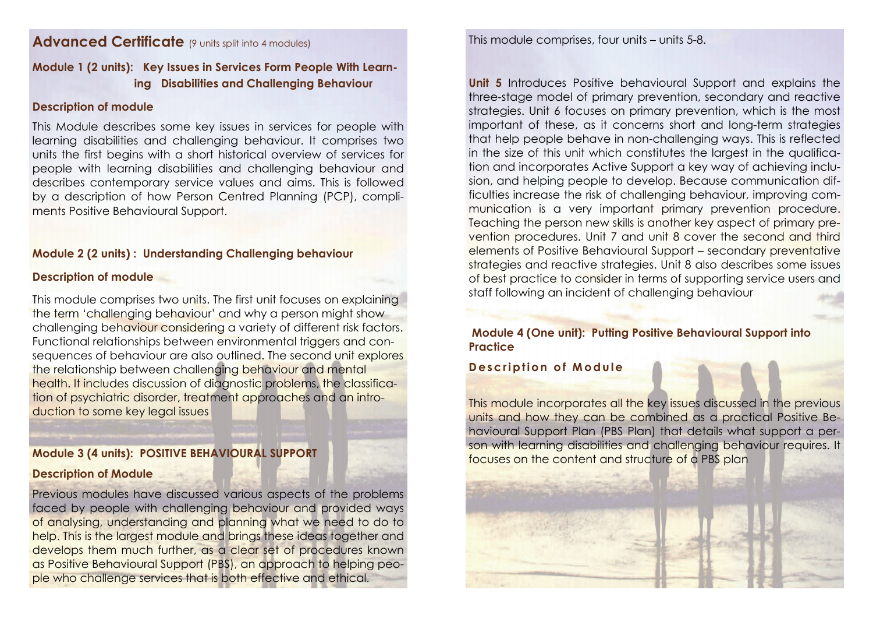# **Advanced Certificate** (9 units split into 4 modules)

# **Module 1 (2 units): Key Issues in Services Form People With Learning Disabilities and Challenging Behaviour**

### **Description of module**

This Module describes some key issues in services for people with learning disabilities and challenging behaviour. It comprises two units the first begins with a short historical overview of services for people with learning disabilities and challenging behaviour and describes contemporary service values and aims. This is followed by a description of how Person Centred Planning (PCP), compliments Positive Behavioural Support.

### **Module 2 (2 units) : Understanding Challenging behaviour**

### **Description of module**

This module comprises two units. The first unit focuses on explaining the term 'challenging behaviour' and why a person might show challenging behaviour considering a variety of different risk factors. Functional relationships between environmental triggers and consequences of behaviour are also outlined. The second unit explores the relationship between challenging behaviour and mental health. It includes discussion of diagnostic problems, the classification of psychiatric disorder, treatment approaches and an introduction to some key legal issues

## **Module 3 (4 units): POSITIVE BEHAVIOURAL SUPPORT**

### **Description of Module**

Previous modules have discussed various aspects of the problems faced by people with challenging behaviour and provided ways of analysing, understanding and planning what we need to do to help. This is the largest module and brings these ideas together and develops them much further, as a clear set of procedures known as Positive Behavioural Support (PBS), an approach to helping people who challenge services that is both effective and ethical.

This module comprises, four units – units 5-8.

**Unit 5** Introduces Positive behavioural Support and explains the three-stage model of primary prevention, secondary and reactive strategies. Unit 6 focuses on primary prevention, which is the most important of these, as it concerns short and long-term strategies that help people behave in non-challenging ways. This is reflected in the size of this unit which constitutes the largest in the qualification and incorporates Active Support a key way of achieving inclusion, and helping people to develop. Because communication difficulties increase the risk of challenging behaviour, improving communication is a very important primary prevention procedure. Teaching the person new skills is another key aspect of primary prevention procedures. Unit 7 and unit 8 cover the second and third elements of Positive Behavioural Support – secondary preventative strategies and reactive strategies. Unit 8 also describes some issues of best practice to consider in terms of supporting service users and staff following an incident of challenging behaviour

### **Module 4 (One unit): Putting Positive Behavioural Support into Practice**

# **Description of Module**

This module incorporates all the key issues discussed in the previous units and how they can be combined as a practical Positive Behavioural Support Plan (PBS Plan) that details what support a person with learning disabilities and challenging behaviour requires. It focuses on the content and structure of a PBS plan

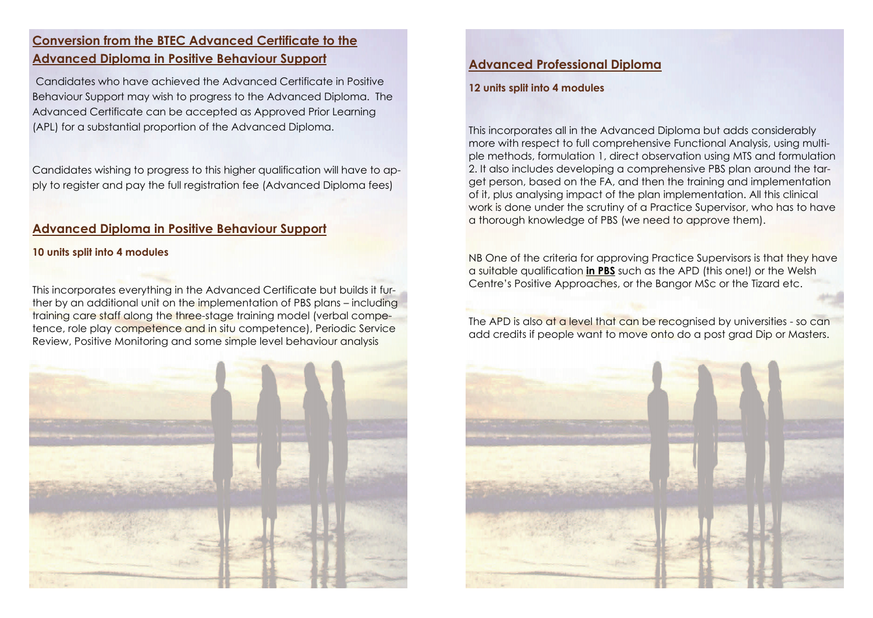# **Conversion from the BTEC Advanced Certificate to the Advanced Diploma in Positive Behaviour Support**

Candidates who have achieved the Advanced Certificate in Positive Behaviour Support may wish to progress to the Advanced Diploma. The Advanced Certificate can be accepted as Approved Prior Learning (APL) for a substantial proportion of the Advanced Diploma.

Candidates wishing to progress to this higher qualification will have to apply to register and pay the full registration fee (Advanced Diploma fees)

## **Advanced Diploma in Positive Behaviour Support**

#### **10 units split into 4 modules**

This incorporates everything in the Advanced Certificate but builds it further by an additional unit on the implementation of PBS plans – including training care staff along the three-stage training model (verbal competence, role play competence and in situ competence), Periodic Service Review, Positive Monitoring and some simple level behaviour analysis



## **Advanced Professional Diploma**

#### **12 units split into 4 modules**

This incorporates all in the Advanced Diploma but adds considerably more with respect to full comprehensive Functional Analysis, using multiple methods, formulation 1, direct observation using MTS and formulation 2. It also includes developing a comprehensive PBS plan around the target person, based on the FA, and then the training and implementation of it, plus analysing impact of the plan implementation. All this clinical work is done under the scrutiny of a Practice Supervisor, who has to have a thorough knowledge of PBS (we need to approve them).

NB One of the criteria for approving Practice Supervisors is that they have a suitable qualification **in PBS** such as the APD (this one!) or the Welsh Centre's Positive Approaches, or the Bangor MSc or the Tizard etc.

The APD is also at a level that can be recognised by universities - so can add credits if people want to move onto do a post grad Dip or Masters.